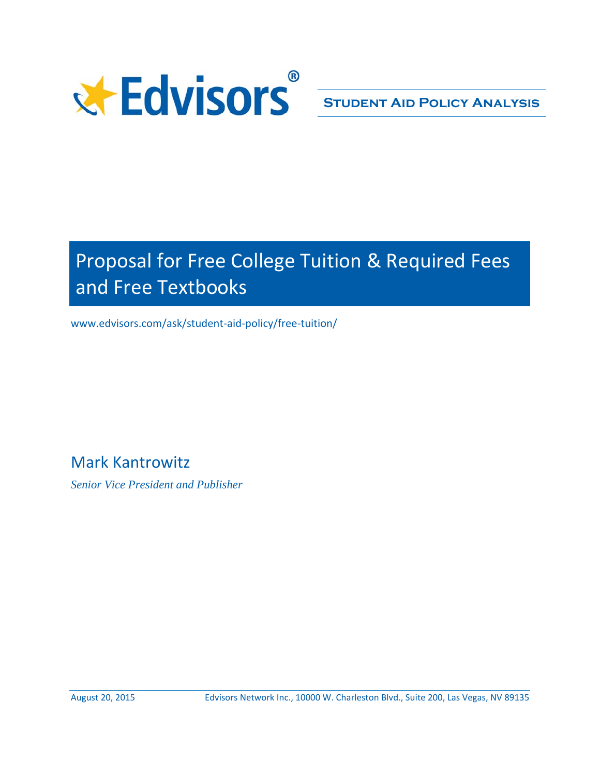

# Proposal for Free College Tuition & Required Fees and Free Textbooks

www.edvisors.com/ask/student‐aid‐policy/free‐tuition/

Mark Kantrowitz

*Senior Vice President and Publisher*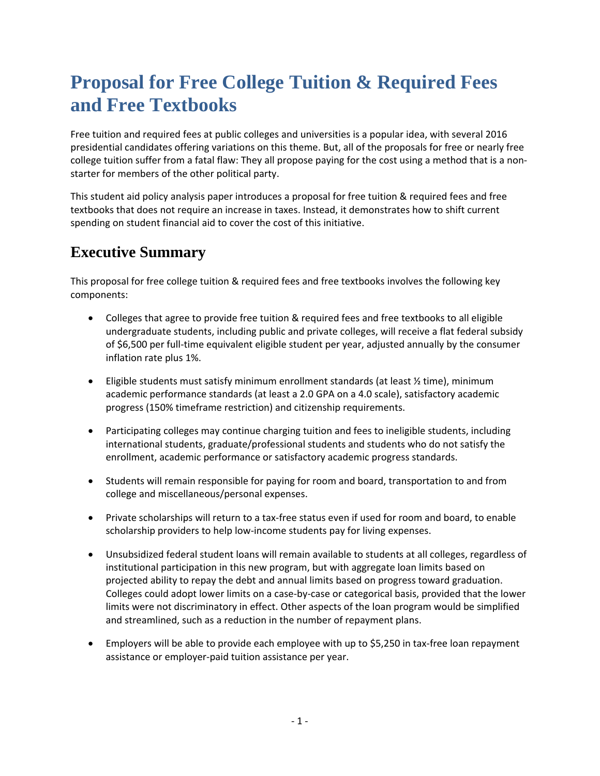## **Proposal for Free College Tuition & Required Fees and Free Textbooks**

Free tuition and required fees at public colleges and universities is a popular idea, with several 2016 presidential candidates offering variations on this theme. But, all of the proposals for free or nearly free college tuition suffer from a fatal flaw: They all propose paying for the cost using a method that is a non‐ starter for members of the other political party.

This student aid policy analysis paper introduces a proposal for free tuition & required fees and free textbooks that does not require an increase in taxes. Instead, it demonstrates how to shift current spending on student financial aid to cover the cost of this initiative.

### **Executive Summary**

This proposal for free college tuition & required fees and free textbooks involves the following key components:

- Colleges that agree to provide free tuition & required fees and free textbooks to all eligible undergraduate students, including public and private colleges, will receive a flat federal subsidy of \$6,500 per full‐time equivalent eligible student per year, adjusted annually by the consumer inflation rate plus 1%.
- Eligible students must satisfy minimum enrollment standards (at least ½ time), minimum academic performance standards (at least a 2.0 GPA on a 4.0 scale), satisfactory academic progress (150% timeframe restriction) and citizenship requirements.
- Participating colleges may continue charging tuition and fees to ineligible students, including international students, graduate/professional students and students who do not satisfy the enrollment, academic performance or satisfactory academic progress standards.
- Students will remain responsible for paying for room and board, transportation to and from college and miscellaneous/personal expenses.
- Private scholarships will return to a tax-free status even if used for room and board, to enable scholarship providers to help low-income students pay for living expenses.
- Unsubsidized federal student loans will remain available to students at all colleges, regardless of institutional participation in this new program, but with aggregate loan limits based on projected ability to repay the debt and annual limits based on progress toward graduation. Colleges could adopt lower limits on a case‐by‐case or categorical basis, provided that the lower limits were not discriminatory in effect. Other aspects of the loan program would be simplified and streamlined, such as a reduction in the number of repayment plans.
- Employers will be able to provide each employee with up to \$5,250 in tax‐free loan repayment assistance or employer‐paid tuition assistance per year.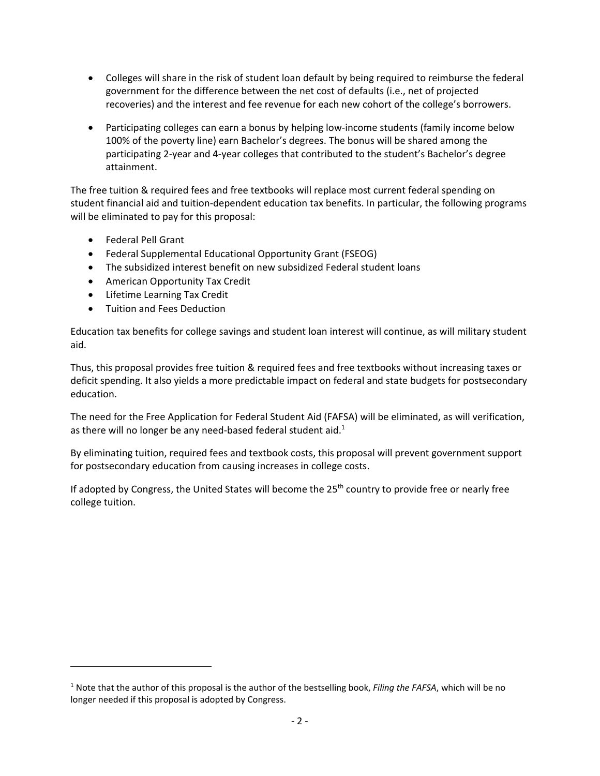- Colleges will share in the risk of student loan default by being required to reimburse the federal government for the difference between the net cost of defaults (i.e., net of projected recoveries) and the interest and fee revenue for each new cohort of the college's borrowers.
- Participating colleges can earn a bonus by helping low-income students (family income below 100% of the poverty line) earn Bachelor's degrees. The bonus will be shared among the participating 2‐year and 4‐year colleges that contributed to the student's Bachelor's degree attainment.

The free tuition & required fees and free textbooks will replace most current federal spending on student financial aid and tuition‐dependent education tax benefits. In particular, the following programs will be eliminated to pay for this proposal:

- Federal Pell Grant
- Federal Supplemental Educational Opportunity Grant (FSEOG)
- The subsidized interest benefit on new subsidized Federal student loans
- American Opportunity Tax Credit
- Lifetime Learning Tax Credit
- Tuition and Fees Deduction

Education tax benefits for college savings and student loan interest will continue, as will military student aid.

Thus, this proposal provides free tuition & required fees and free textbooks without increasing taxes or deficit spending. It also yields a more predictable impact on federal and state budgets for postsecondary education.

The need for the Free Application for Federal Student Aid (FAFSA) will be eliminated, as will verification, as there will no longer be any need-based federal student aid.<sup>1</sup>

By eliminating tuition, required fees and textbook costs, this proposal will prevent government support for postsecondary education from causing increases in college costs.

If adopted by Congress, the United States will become the 25<sup>th</sup> country to provide free or nearly free college tuition.

<sup>1</sup> Note that the author of this proposal is the author of the bestselling book, *Filing the FAFSA*, which will be no longer needed if this proposal is adopted by Congress.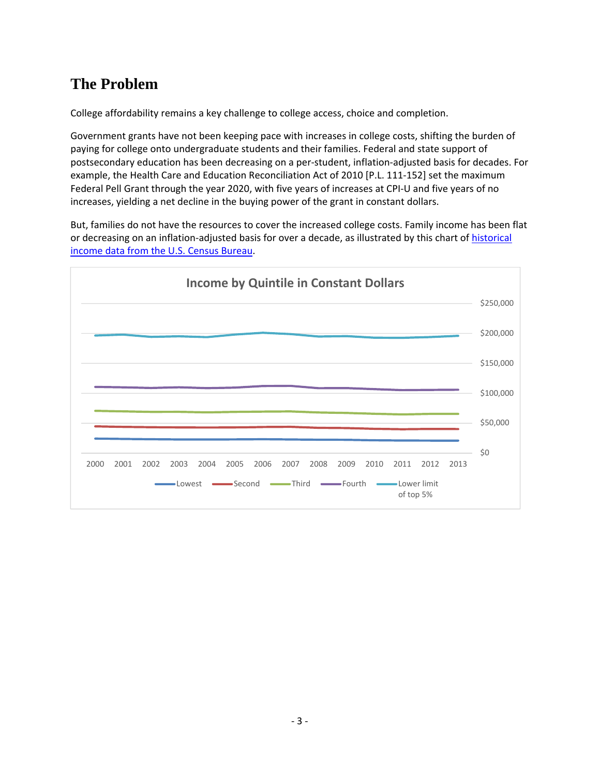### **The Problem**

College affordability remains a key challenge to college access, choice and completion.

Government grants have not been keeping pace with increases in college costs, shifting the burden of paying for college onto undergraduate students and their families. Federal and state support of postsecondary education has been decreasing on a per‐student, inflation‐adjusted basis for decades. For example, the Health Care and Education Reconciliation Act of 2010 [P.L. 111‐152] set the maximum Federal Pell Grant through the year 2020, with five years of increases at CPI-U and five years of no increases, yielding a net decline in the buying power of the grant in constant dollars.

But, families do not have the resources to cover the increased college costs. Family income has been flat or decreasing on an inflation‐adjusted basis for over a decade, as illustrated by this chart of historical income data from the U.S. Census Bureau.

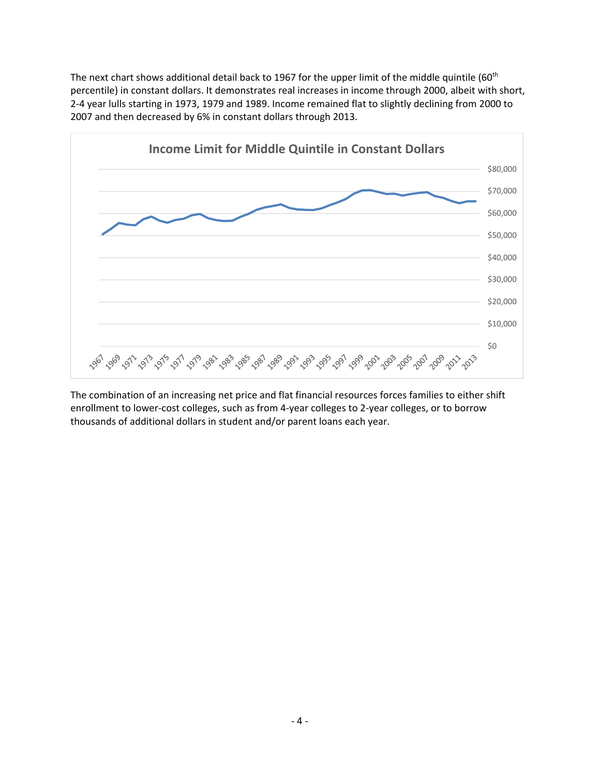The next chart shows additional detail back to 1967 for the upper limit of the middle quintile (60<sup>th</sup>) percentile) in constant dollars. It demonstrates real increases in income through 2000, albeit with short, 2‐4 year lulls starting in 1973, 1979 and 1989. Income remained flat to slightly declining from 2000 to 2007 and then decreased by 6% in constant dollars through 2013.



The combination of an increasing net price and flat financial resources forces families to either shift enrollment to lower‐cost colleges, such as from 4‐year colleges to 2‐year colleges, or to borrow thousands of additional dollars in student and/or parent loans each year.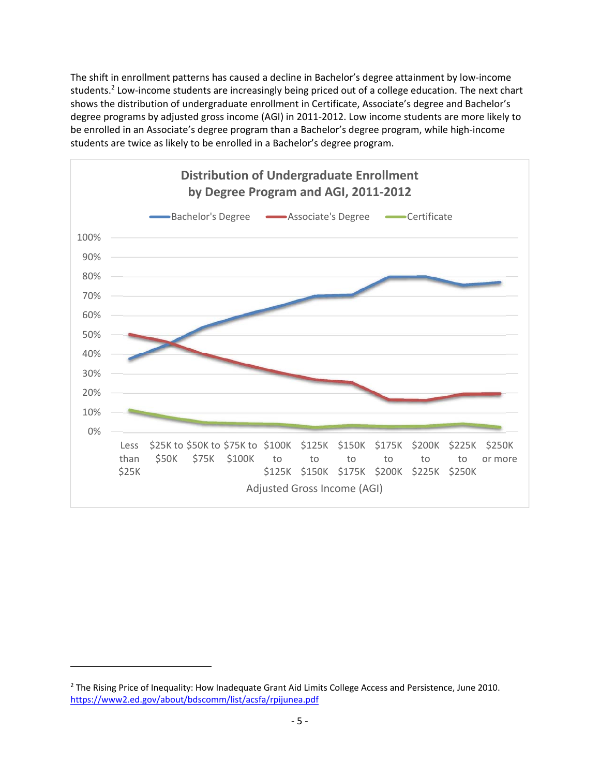The shift in enrollment patterns has caused a decline in Bachelor's degree attainment by low‐income students.<sup>2</sup> Low-income students are increasingly being priced out of a college education. The next chart shows the distribution of undergraduate enrollment in Certificate, Associate's degree and Bachelor's degree programs by adjusted gross income (AGI) in 2011‐2012. Low income students are more likely to be enrolled in an Associate's degree program than a Bachelor's degree program, while high‐income students are twice as likely to be enrolled in a Bachelor's degree program.



<sup>&</sup>lt;sup>2</sup> The Rising Price of Inequality: How Inadequate Grant Aid Limits College Access and Persistence, June 2010. https://www2.ed.gov/about/bdscomm/list/acsfa/rpijunea.pdf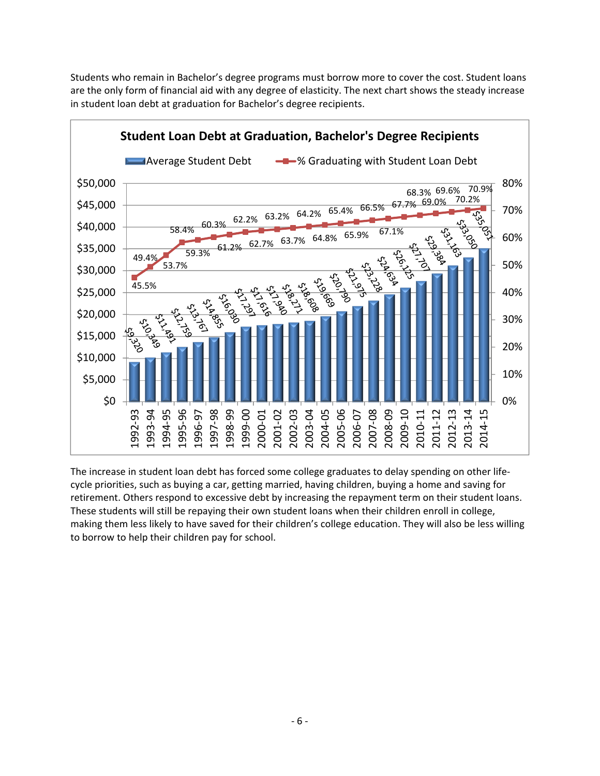Students who remain in Bachelor's degree programs must borrow more to cover the cost. Student loans are the only form of financial aid with any degree of elasticity. The next chart shows the steady increase in student loan debt at graduation for Bachelor's degree recipients.



The increase in student loan debt has forced some college graduates to delay spending on other life‐ cycle priorities, such as buying a car, getting married, having children, buying a home and saving for retirement. Others respond to excessive debt by increasing the repayment term on their student loans. These students will still be repaying their own student loans when their children enroll in college, making them less likely to have saved for their children's college education. They will also be less willing to borrow to help their children pay for school.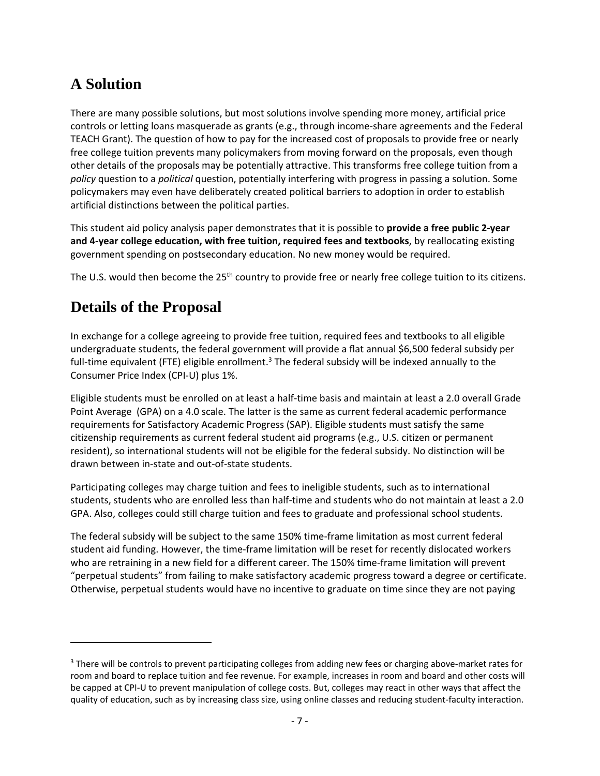### **A Solution**

There are many possible solutions, but most solutions involve spending more money, artificial price controls or letting loans masquerade as grants (e.g., through income‐share agreements and the Federal TEACH Grant). The question of how to pay for the increased cost of proposals to provide free or nearly free college tuition prevents many policymakers from moving forward on the proposals, even though other details of the proposals may be potentially attractive. This transforms free college tuition from a *policy* question to a *political* question, potentially interfering with progress in passing a solution. Some policymakers may even have deliberately created political barriers to adoption in order to establish artificial distinctions between the political parties.

This student aid policy analysis paper demonstrates that it is possible to **provide a free public 2‐year and 4‐year college education, with free tuition, required fees and textbooks**, by reallocating existing government spending on postsecondary education. No new money would be required.

The U.S. would then become the  $25<sup>th</sup>$  country to provide free or nearly free college tuition to its citizens.

### **Details of the Proposal**

In exchange for a college agreeing to provide free tuition, required fees and textbooks to all eligible undergraduate students, the federal government will provide a flat annual \$6,500 federal subsidy per full-time equivalent (FTE) eligible enrollment.<sup>3</sup> The federal subsidy will be indexed annually to the Consumer Price Index (CPI‐U) plus 1%.

Eligible students must be enrolled on at least a half‐time basis and maintain at least a 2.0 overall Grade Point Average (GPA) on a 4.0 scale. The latter is the same as current federal academic performance requirements for Satisfactory Academic Progress (SAP). Eligible students must satisfy the same citizenship requirements as current federal student aid programs (e.g., U.S. citizen or permanent resident), so international students will not be eligible for the federal subsidy. No distinction will be drawn between in‐state and out‐of‐state students.

Participating colleges may charge tuition and fees to ineligible students, such as to international students, students who are enrolled less than half‐time and students who do not maintain at least a 2.0 GPA. Also, colleges could still charge tuition and fees to graduate and professional school students.

The federal subsidy will be subject to the same 150% time‐frame limitation as most current federal student aid funding. However, the time-frame limitation will be reset for recently dislocated workers who are retraining in a new field for a different career. The 150% time-frame limitation will prevent "perpetual students" from failing to make satisfactory academic progress toward a degree or certificate. Otherwise, perpetual students would have no incentive to graduate on time since they are not paying

<sup>&</sup>lt;sup>3</sup> There will be controls to prevent participating colleges from adding new fees or charging above-market rates for room and board to replace tuition and fee revenue. For example, increases in room and board and other costs will be capped at CPI‐U to prevent manipulation of college costs. But, colleges may react in other ways that affect the quality of education, such as by increasing class size, using online classes and reducing student‐faculty interaction.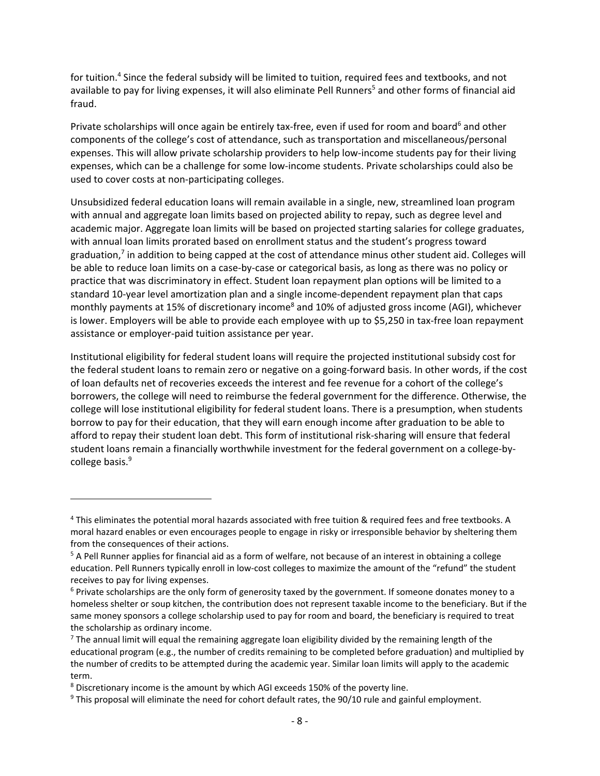for tuition.4 Since the federal subsidy will be limited to tuition, required fees and textbooks, and not available to pay for living expenses, it will also eliminate Pell Runners<sup>5</sup> and other forms of financial aid fraud.

Private scholarships will once again be entirely tax-free, even if used for room and board<sup>6</sup> and other components of the college's cost of attendance, such as transportation and miscellaneous/personal expenses. This will allow private scholarship providers to help low-income students pay for their living expenses, which can be a challenge for some low‐income students. Private scholarships could also be used to cover costs at non‐participating colleges.

Unsubsidized federal education loans will remain available in a single, new, streamlined loan program with annual and aggregate loan limits based on projected ability to repay, such as degree level and academic major. Aggregate loan limits will be based on projected starting salaries for college graduates, with annual loan limits prorated based on enrollment status and the student's progress toward graduation, $<sup>7</sup>$  in addition to being capped at the cost of attendance minus other student aid. Colleges will</sup> be able to reduce loan limits on a case‐by‐case or categorical basis, as long as there was no policy or practice that was discriminatory in effect. Student loan repayment plan options will be limited to a standard 10‐year level amortization plan and a single income‐dependent repayment plan that caps monthly payments at 15% of discretionary income<sup>8</sup> and 10% of adjusted gross income (AGI), whichever is lower. Employers will be able to provide each employee with up to \$5,250 in tax‐free loan repayment assistance or employer‐paid tuition assistance per year.

Institutional eligibility for federal student loans will require the projected institutional subsidy cost for the federal student loans to remain zero or negative on a going-forward basis. In other words, if the cost of loan defaults net of recoveries exceeds the interest and fee revenue for a cohort of the college's borrowers, the college will need to reimburse the federal government for the difference. Otherwise, the college will lose institutional eligibility for federal student loans. There is a presumption, when students borrow to pay for their education, that they will earn enough income after graduation to be able to afford to repay their student loan debt. This form of institutional risk‐sharing will ensure that federal student loans remain a financially worthwhile investment for the federal government on a college-bycollege basis.<sup>9</sup>

<sup>4</sup> This eliminates the potential moral hazards associated with free tuition & required fees and free textbooks. A moral hazard enables or even encourages people to engage in risky or irresponsible behavior by sheltering them from the consequences of their actions.

<sup>5</sup> A Pell Runner applies for financial aid as a form of welfare, not because of an interest in obtaining a college education. Pell Runners typically enroll in low-cost colleges to maximize the amount of the "refund" the student receives to pay for living expenses.

 $6$  Private scholarships are the only form of generosity taxed by the government. If someone donates money to a homeless shelter or soup kitchen, the contribution does not represent taxable income to the beneficiary. But if the same money sponsors a college scholarship used to pay for room and board, the beneficiary is required to treat the scholarship as ordinary income.

 $<sup>7</sup>$  The annual limit will equal the remaining aggregate loan eligibility divided by the remaining length of the</sup> educational program (e.g., the number of credits remaining to be completed before graduation) and multiplied by the number of credits to be attempted during the academic year. Similar loan limits will apply to the academic term.

<sup>8</sup> Discretionary income is the amount by which AGI exceeds 150% of the poverty line.

<sup>9</sup> This proposal will eliminate the need for cohort default rates, the 90/10 rule and gainful employment.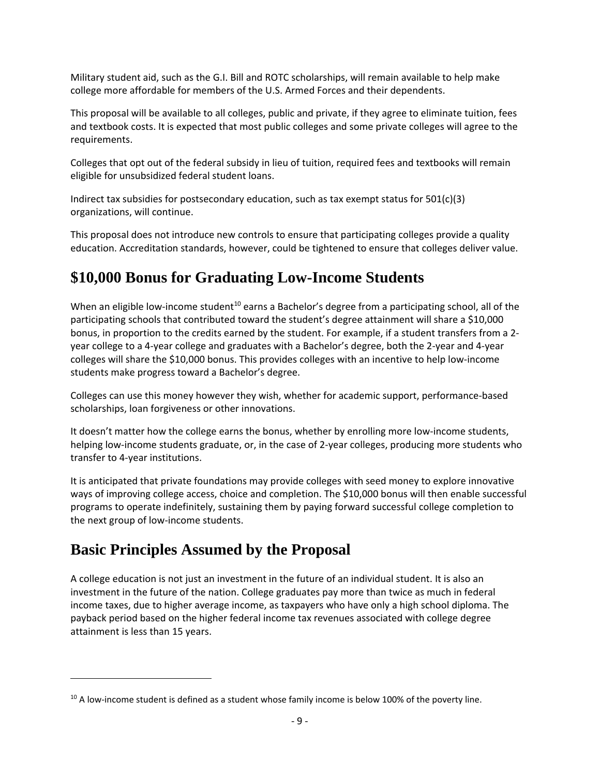Military student aid, such as the G.I. Bill and ROTC scholarships, will remain available to help make college more affordable for members of the U.S. Armed Forces and their dependents.

This proposal will be available to all colleges, public and private, if they agree to eliminate tuition, fees and textbook costs. It is expected that most public colleges and some private colleges will agree to the requirements.

Colleges that opt out of the federal subsidy in lieu of tuition, required fees and textbooks will remain eligible for unsubsidized federal student loans.

Indirect tax subsidies for postsecondary education, such as tax exempt status for 501(c)(3) organizations, will continue.

This proposal does not introduce new controls to ensure that participating colleges provide a quality education. Accreditation standards, however, could be tightened to ensure that colleges deliver value.

### **\$10,000 Bonus for Graduating Low-Income Students**

When an eligible low-income student<sup>10</sup> earns a Bachelor's degree from a participating school, all of the participating schools that contributed toward the student's degree attainment will share a \$10,000 bonus, in proportion to the credits earned by the student. For example, if a student transfers from a 2‐ year college to a 4‐year college and graduates with a Bachelor's degree, both the 2‐year and 4‐year colleges will share the \$10,000 bonus. This provides colleges with an incentive to help low‐income students make progress toward a Bachelor's degree.

Colleges can use this money however they wish, whether for academic support, performance‐based scholarships, loan forgiveness or other innovations.

It doesn't matter how the college earns the bonus, whether by enrolling more low‐income students, helping low-income students graduate, or, in the case of 2-year colleges, producing more students who transfer to 4‐year institutions.

It is anticipated that private foundations may provide colleges with seed money to explore innovative ways of improving college access, choice and completion. The \$10,000 bonus will then enable successful programs to operate indefinitely, sustaining them by paying forward successful college completion to the next group of low‐income students.

### **Basic Principles Assumed by the Proposal**

A college education is not just an investment in the future of an individual student. It is also an investment in the future of the nation. College graduates pay more than twice as much in federal income taxes, due to higher average income, as taxpayers who have only a high school diploma. The payback period based on the higher federal income tax revenues associated with college degree attainment is less than 15 years.

 $10$  A low-income student is defined as a student whose family income is below 100% of the poverty line.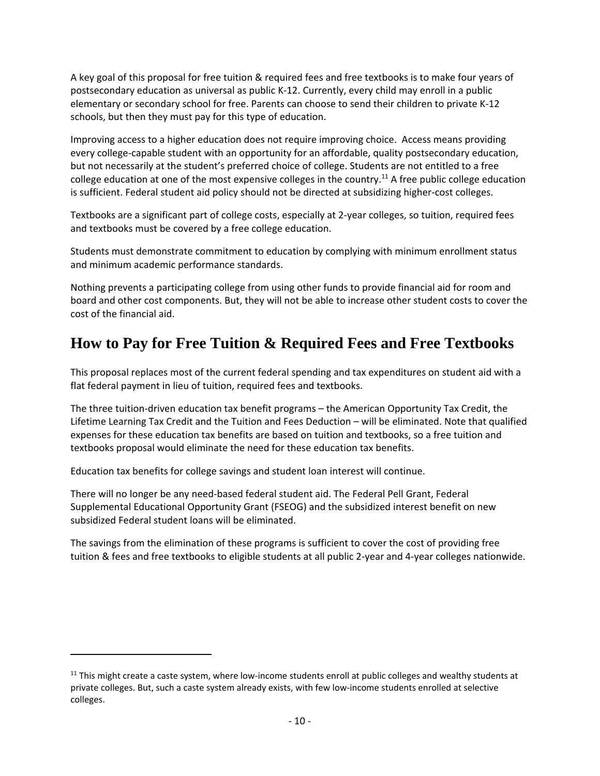A key goal of this proposal for free tuition & required fees and free textbooks is to make four years of postsecondary education as universal as public K‐12. Currently, every child may enroll in a public elementary or secondary school for free. Parents can choose to send their children to private K‐12 schools, but then they must pay for this type of education.

Improving access to a higher education does not require improving choice. Access means providing every college‐capable student with an opportunity for an affordable, quality postsecondary education, but not necessarily at the student's preferred choice of college. Students are not entitled to a free college education at one of the most expensive colleges in the country.<sup>11</sup> A free public college education is sufficient. Federal student aid policy should not be directed at subsidizing higher-cost colleges.

Textbooks are a significant part of college costs, especially at 2‐year colleges, so tuition, required fees and textbooks must be covered by a free college education.

Students must demonstrate commitment to education by complying with minimum enrollment status and minimum academic performance standards.

Nothing prevents a participating college from using other funds to provide financial aid for room and board and other cost components. But, they will not be able to increase other student costs to cover the cost of the financial aid.

### **How to Pay for Free Tuition & Required Fees and Free Textbooks**

This proposal replaces most of the current federal spending and tax expenditures on student aid with a flat federal payment in lieu of tuition, required fees and textbooks.

The three tuition‐driven education tax benefit programs – the American Opportunity Tax Credit, the Lifetime Learning Tax Credit and the Tuition and Fees Deduction – will be eliminated. Note that qualified expenses for these education tax benefits are based on tuition and textbooks, so a free tuition and textbooks proposal would eliminate the need for these education tax benefits.

Education tax benefits for college savings and student loan interest will continue.

There will no longer be any need‐based federal student aid. The Federal Pell Grant, Federal Supplemental Educational Opportunity Grant (FSEOG) and the subsidized interest benefit on new subsidized Federal student loans will be eliminated.

The savings from the elimination of these programs is sufficient to cover the cost of providing free tuition & fees and free textbooks to eligible students at all public 2‐year and 4‐year colleges nationwide.

 $11$  This might create a caste system, where low-income students enroll at public colleges and wealthy students at private colleges. But, such a caste system already exists, with few low‐income students enrolled at selective colleges.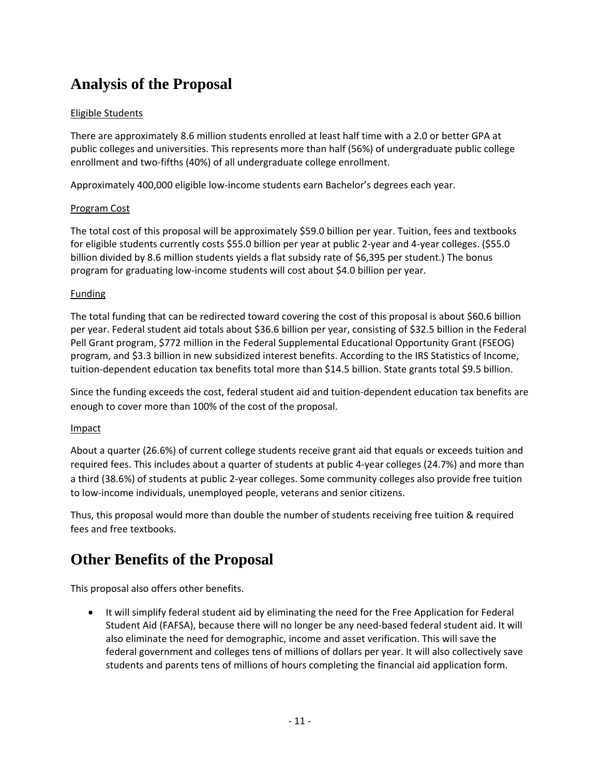### **Analysis of the Proposal**

#### Eligible Students

There are approximately 8.6 million students enrolled at least half time with a 2.0 or better GPA at public colleges and universities. This represents more than half (56%) of undergraduate public college enrollment and two‐fifths (40%) of all undergraduate college enrollment.

Approximately 400,000 eligible low‐income students earn Bachelor's degrees each year.

#### Program Cost

The total cost of this proposal will be approximately \$59.0 billion per year. Tuition, fees and textbooks for eligible students currently costs \$55.0 billion per year at public 2‐year and 4‐year colleges. (\$55.0 billion divided by 8.6 million students yields a flat subsidy rate of \$6,395 per student.) The bonus program for graduating low‐income students will cost about \$4.0 billion per year.

#### Funding

The total funding that can be redirected toward covering the cost of this proposal is about \$60.6 billion per year. Federal student aid totals about \$36.6 billion per year, consisting of \$32.5 billion in the Federal Pell Grant program, \$772 million in the Federal Supplemental Educational Opportunity Grant (FSEOG) program, and \$3.3 billion in new subsidized interest benefits. According to the IRS Statistics of Income, tuition‐dependent education tax benefits total more than \$14.5 billion. State grants total \$9.5 billion.

Since the funding exceeds the cost, federal student aid and tuition‐dependent education tax benefits are enough to cover more than 100% of the cost of the proposal.

#### Impact

About a quarter (26.6%) of current college students receive grant aid that equals or exceeds tuition and required fees. This includes about a quarter of students at public 4‐year colleges (24.7%) and more than a third (38.6%) of students at public 2‐year colleges. Some community colleges also provide free tuition to low‐income individuals, unemployed people, veterans and senior citizens.

Thus, this proposal would more than double the number of students receiving free tuition & required fees and free textbooks.

### **Other Benefits of the Proposal**

This proposal also offers other benefits.

 It will simplify federal student aid by eliminating the need for the Free Application for Federal Student Aid (FAFSA), because there will no longer be any need‐based federal student aid. It will also eliminate the need for demographic, income and asset verification. This will save the federal government and colleges tens of millions of dollars per year. It will also collectively save students and parents tens of millions of hours completing the financial aid application form.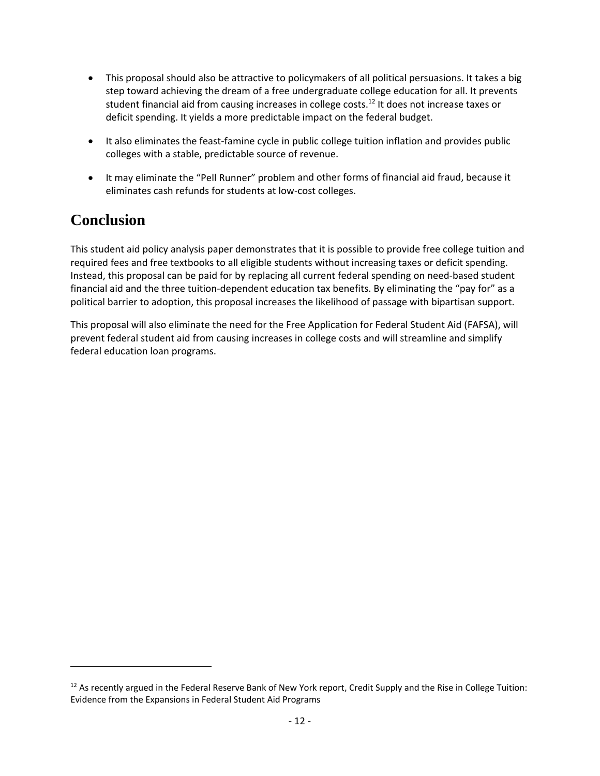- This proposal should also be attractive to policymakers of all political persuasions. It takes a big step toward achieving the dream of a free undergraduate college education for all. It prevents student financial aid from causing increases in college costs.<sup>12</sup> It does not increase taxes or deficit spending. It yields a more predictable impact on the federal budget.
- It also eliminates the feast-famine cycle in public college tuition inflation and provides public colleges with a stable, predictable source of revenue.
- It may eliminate the "Pell Runner" problem and other forms of financial aid fraud, because it eliminates cash refunds for students at low‐cost colleges.

### **Conclusion**

This student aid policy analysis paper demonstrates that it is possible to provide free college tuition and required fees and free textbooks to all eligible students without increasing taxes or deficit spending. Instead, this proposal can be paid for by replacing all current federal spending on need‐based student financial aid and the three tuition‐dependent education tax benefits. By eliminating the "pay for" as a political barrier to adoption, this proposal increases the likelihood of passage with bipartisan support.

This proposal will also eliminate the need for the Free Application for Federal Student Aid (FAFSA), will prevent federal student aid from causing increases in college costs and will streamline and simplify federal education loan programs.

<sup>&</sup>lt;sup>12</sup> As recently argued in the Federal Reserve Bank of New York report, Credit Supply and the Rise in College Tuition: Evidence from the Expansions in Federal Student Aid Programs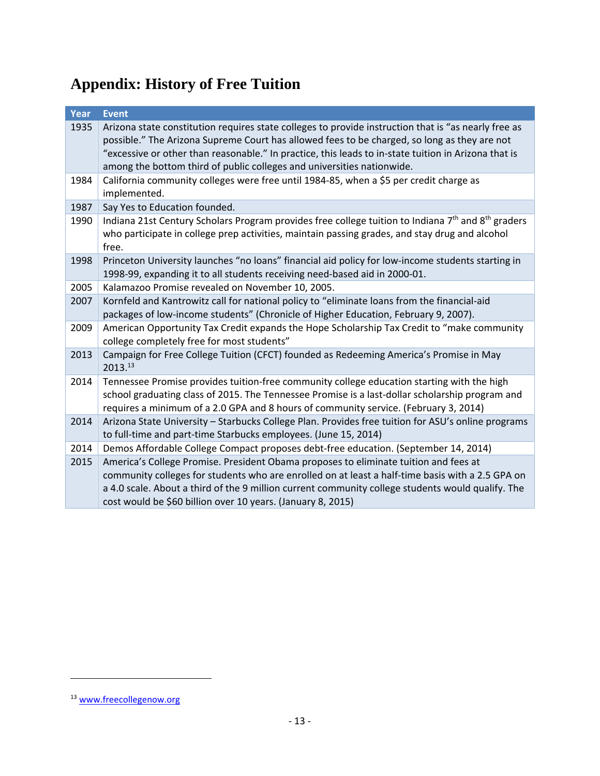## **Appendix: History of Free Tuition**

| Year | <b>Event</b>                                                                                                                                                                                                                                                                                                                                                                           |
|------|----------------------------------------------------------------------------------------------------------------------------------------------------------------------------------------------------------------------------------------------------------------------------------------------------------------------------------------------------------------------------------------|
| 1935 | Arizona state constitution requires state colleges to provide instruction that is "as nearly free as<br>possible." The Arizona Supreme Court has allowed fees to be charged, so long as they are not<br>"excessive or other than reasonable." In practice, this leads to in-state tuition in Arizona that is<br>among the bottom third of public colleges and universities nationwide. |
| 1984 | California community colleges were free until 1984-85, when a \$5 per credit charge as<br>implemented.                                                                                                                                                                                                                                                                                 |
| 1987 | Say Yes to Education founded.                                                                                                                                                                                                                                                                                                                                                          |
| 1990 | Indiana 21st Century Scholars Program provides free college tuition to Indiana 7 <sup>th</sup> and 8 <sup>th</sup> graders<br>who participate in college prep activities, maintain passing grades, and stay drug and alcohol<br>free.                                                                                                                                                  |
| 1998 | Princeton University launches "no loans" financial aid policy for low-income students starting in<br>1998-99, expanding it to all students receiving need-based aid in 2000-01.                                                                                                                                                                                                        |
| 2005 | Kalamazoo Promise revealed on November 10, 2005.                                                                                                                                                                                                                                                                                                                                       |
| 2007 | Kornfeld and Kantrowitz call for national policy to "eliminate loans from the financial-aid<br>packages of low-income students" (Chronicle of Higher Education, February 9, 2007).                                                                                                                                                                                                     |
| 2009 | American Opportunity Tax Credit expands the Hope Scholarship Tax Credit to "make community<br>college completely free for most students"                                                                                                                                                                                                                                               |
| 2013 | Campaign for Free College Tuition (CFCT) founded as Redeeming America's Promise in May<br>2013.13                                                                                                                                                                                                                                                                                      |
| 2014 | Tennessee Promise provides tuition-free community college education starting with the high<br>school graduating class of 2015. The Tennessee Promise is a last-dollar scholarship program and<br>requires a minimum of a 2.0 GPA and 8 hours of community service. (February 3, 2014)                                                                                                  |
| 2014 | Arizona State University - Starbucks College Plan. Provides free tuition for ASU's online programs<br>to full-time and part-time Starbucks employees. (June 15, 2014)                                                                                                                                                                                                                  |
| 2014 | Demos Affordable College Compact proposes debt-free education. (September 14, 2014)                                                                                                                                                                                                                                                                                                    |
| 2015 | America's College Promise. President Obama proposes to eliminate tuition and fees at<br>community colleges for students who are enrolled on at least a half-time basis with a 2.5 GPA on<br>a 4.0 scale. About a third of the 9 million current community college students would qualify. The<br>cost would be \$60 billion over 10 years. (January 8, 2015)                           |

<sup>&</sup>lt;sup>13</sup> www.freecollegenow.org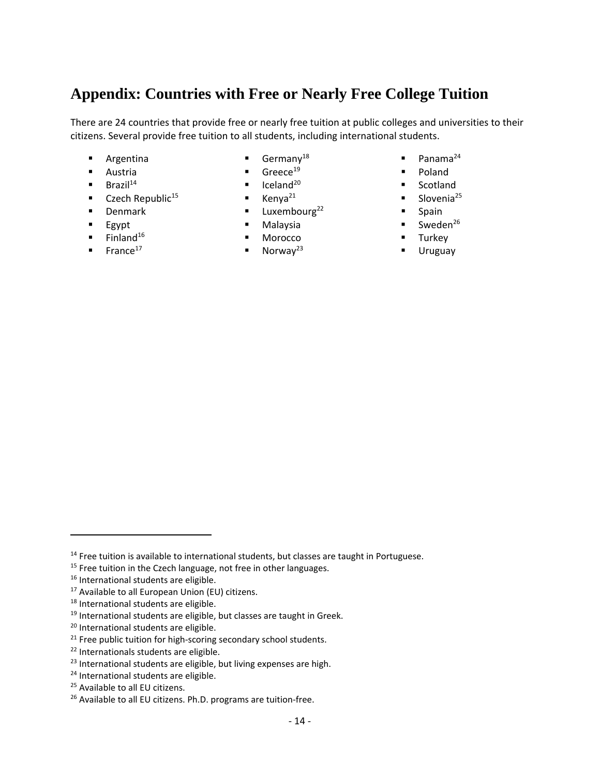### **Appendix: Countries with Free or Nearly Free College Tuition**

There are 24 countries that provide free or nearly free tuition at public colleges and universities to their citizens. Several provide free tuition to all students, including international students.

- **Argentina**
- Austria
- $\blacksquare$  Brazil<sup>14</sup>
- $\blacksquare$  Czech Republic<sup>15</sup>
- **Denmark**
- $EgV$ pt
- $\blacksquare$  Finland<sup>16</sup>
- $\blacksquare$  France<sup>17</sup>
- Germany<sup>18</sup>
- $\blacksquare$  Greece<sup>19</sup>
- Iceland<sup>20</sup>
- $\blacksquare$  Kenya<sup>21</sup>
- **Luxembourg**<sup>22</sup>
- Malaysia
- Morocco
- $\blacksquare$  Norway<sup>23</sup>
- Panama<sup>24</sup>
- **Poland**
- Scotland
- Slovenia<sup>25</sup>
- Spain
- Sweden<sup>26</sup>
- Turkey
- Uruguay

<sup>&</sup>lt;sup>14</sup> Free tuition is available to international students, but classes are taught in Portuguese.

<sup>&</sup>lt;sup>15</sup> Free tuition in the Czech language, not free in other languages.

<sup>&</sup>lt;sup>16</sup> International students are eligible.

 $17$  Available to all European Union (EU) citizens.

<sup>18</sup> International students are eligible.

 $19$  International students are eligible, but classes are taught in Greek.

<sup>20</sup> International students are eligible.

<sup>&</sup>lt;sup>21</sup> Free public tuition for high-scoring secondary school students.

<sup>&</sup>lt;sup>22</sup> Internationals students are eligible.

<sup>&</sup>lt;sup>23</sup> International students are eligible, but living expenses are high.

<sup>&</sup>lt;sup>24</sup> International students are eligible.

<sup>25</sup> Available to all EU citizens.

<sup>&</sup>lt;sup>26</sup> Available to all EU citizens. Ph.D. programs are tuition-free.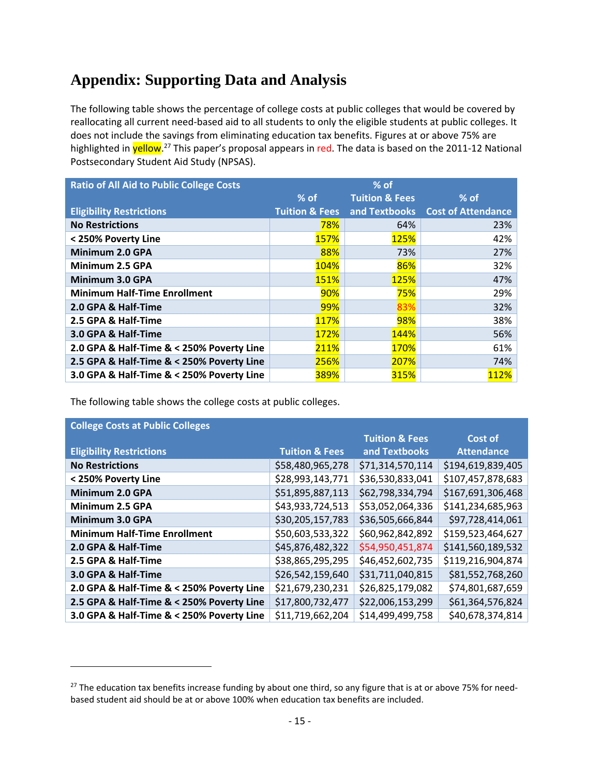### **Appendix: Supporting Data and Analysis**

The following table shows the percentage of college costs at public colleges that would be covered by reallocating all current need‐based aid to all students to only the eligible students at public colleges. It does not include the savings from eliminating education tax benefits. Figures at or above 75% are highlighted in yellow.<sup>27</sup> This paper's proposal appears in red. The data is based on the 2011-12 National Postsecondary Student Aid Study (NPSAS).

| <b>Ratio of All Aid to Public College Costs</b> | $%$ of                    |                           |                                  |
|-------------------------------------------------|---------------------------|---------------------------|----------------------------------|
|                                                 | $%$ of                    | <b>Tuition &amp; Fees</b> | $%$ of                           |
| <b>Eligibility Restrictions</b>                 | <b>Tuition &amp; Fees</b> |                           | and Textbooks Cost of Attendance |
| <b>No Restrictions</b>                          | 78%                       | 64%                       | 23%                              |
| < 250% Poverty Line                             | <b>157%</b>               | <b>125%</b>               | 42%                              |
| Minimum 2.0 GPA                                 | 88%                       | 73%                       | 27%                              |
| Minimum 2.5 GPA                                 | 104%                      | 86%                       | 32%                              |
| Minimum 3.0 GPA                                 | <b>151%</b>               | <b>125%</b>               | 47%                              |
| <b>Minimum Half-Time Enrollment</b>             | 90%                       | 75%                       | 29%                              |
| 2.0 GPA & Half-Time                             | 99%                       | 83%                       | 32%                              |
| 2.5 GPA & Half-Time                             | 117%                      | 98%                       | 38%                              |
| 3.0 GPA & Half-Time                             | <b>172%</b>               | 144%                      | 56%                              |
| 2.0 GPA & Half-Time & < 250% Poverty Line       | 211%                      | <b>170%</b>               | 61%                              |
| 2.5 GPA & Half-Time & < 250% Poverty Line       | 256%                      | 207%                      | 74%                              |
| 3.0 GPA & Half-Time & < 250% Poverty Line       | 389%                      | 315%                      | 112%                             |

The following table shows the college costs at public colleges.

| <b>College Costs at Public Colleges</b>   |                           |                           |                   |
|-------------------------------------------|---------------------------|---------------------------|-------------------|
|                                           |                           | <b>Tuition &amp; Fees</b> | <b>Cost of</b>    |
| <b>Eligibility Restrictions</b>           | <b>Tuition &amp; Fees</b> | and Textbooks             | <b>Attendance</b> |
| <b>No Restrictions</b>                    | \$58,480,965,278          | \$71,314,570,114          | \$194,619,839,405 |
| < 250% Poverty Line                       | \$28,993,143,771          | \$36,530,833,041          | \$107,457,878,683 |
| Minimum 2.0 GPA                           | \$51,895,887,113          | \$62,798,334,794          | \$167,691,306,468 |
| Minimum 2.5 GPA                           | \$43,933,724,513          | \$53,052,064,336          | \$141,234,685,963 |
| Minimum 3.0 GPA                           | \$30,205,157,783          | \$36,505,666,844          | \$97,728,414,061  |
| <b>Minimum Half-Time Enrollment</b>       | \$50,603,533,322          | \$60,962,842,892          | \$159,523,464,627 |
| 2.0 GPA & Half-Time                       | \$45,876,482,322          | \$54,950,451,874          | \$141,560,189,532 |
| 2.5 GPA & Half-Time                       | \$38,865,295,295          | \$46,452,602,735          | \$119,216,904,874 |
| 3.0 GPA & Half-Time                       | \$26,542,159,640          | \$31,711,040,815          | \$81,552,768,260  |
| 2.0 GPA & Half-Time & < 250% Poverty Line | \$21,679,230,231          | \$26,825,179,082          | \$74,801,687,659  |
| 2.5 GPA & Half-Time & < 250% Poverty Line | \$17,800,732,477          | \$22,006,153,299          | \$61,364,576,824  |
| 3.0 GPA & Half-Time & < 250% Poverty Line | \$11,719,662,204          | \$14,499,499,758          | \$40,678,374,814  |

<sup>&</sup>lt;sup>27</sup> The education tax benefits increase funding by about one third, so any figure that is at or above 75% for needbased student aid should be at or above 100% when education tax benefits are included.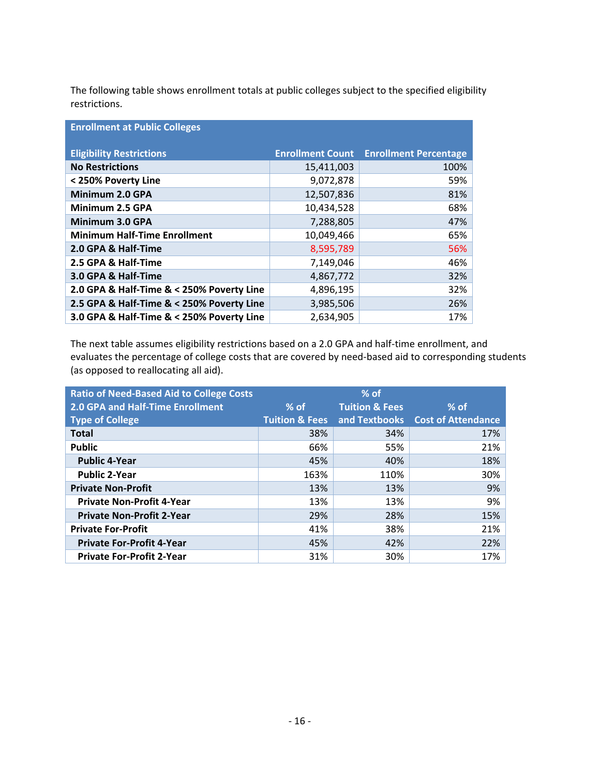The following table shows enrollment totals at public colleges subject to the specified eligibility restrictions.

| <b>Enrollment at Public Colleges</b>      |                         |                              |  |
|-------------------------------------------|-------------------------|------------------------------|--|
| <b>Eligibility Restrictions</b>           | <b>Enrollment Count</b> | <b>Enrollment Percentage</b> |  |
| <b>No Restrictions</b>                    | 15,411,003              | 100%                         |  |
| < 250% Poverty Line                       | 9,072,878               | 59%                          |  |
| Minimum 2.0 GPA                           | 12,507,836              | 81%                          |  |
| Minimum 2.5 GPA                           | 10,434,528              | 68%                          |  |
| Minimum 3.0 GPA                           | 7,288,805               | 47%                          |  |
| <b>Minimum Half-Time Enrollment</b>       | 10,049,466              | 65%                          |  |
| 2.0 GPA & Half-Time                       | 8,595,789               | 56%                          |  |
| 2.5 GPA & Half-Time                       | 7,149,046               | 46%                          |  |
| 3.0 GPA & Half-Time                       | 4,867,772               | 32%                          |  |
| 2.0 GPA & Half-Time & < 250% Poverty Line | 4,896,195               | 32%                          |  |
| 2.5 GPA & Half-Time & < 250% Poverty Line | 3,985,506               | 26%                          |  |
| 3.0 GPA & Half-Time & < 250% Poverty Line | 2,634,905               | 17%                          |  |

The next table assumes eligibility restrictions based on a 2.0 GPA and half‐time enrollment, and evaluates the percentage of college costs that are covered by need‐based aid to corresponding students (as opposed to reallocating all aid).

| <b>Ratio of Need-Based Aid to College Costs</b> | $%$ of                    |                           |                                  |
|-------------------------------------------------|---------------------------|---------------------------|----------------------------------|
| 2.0 GPA and Half-Time Enrollment                | $%$ of                    | <b>Tuition &amp; Fees</b> | $%$ of                           |
| <b>Type of College</b>                          | <b>Tuition &amp; Fees</b> |                           | and Textbooks Cost of Attendance |
| <b>Total</b>                                    | 38%                       | 34%                       | 17%                              |
| <b>Public</b>                                   | 66%                       | 55%                       | 21%                              |
| <b>Public 4-Year</b>                            | 45%                       | 40%                       | 18%                              |
| <b>Public 2-Year</b>                            | 163%                      | 110%                      | 30%                              |
| <b>Private Non-Profit</b>                       | 13%                       | 13%                       | 9%                               |
| <b>Private Non-Profit 4-Year</b>                | 13%                       | 13%                       | 9%                               |
| <b>Private Non-Profit 2-Year</b>                | 29%                       | 28%                       | 15%                              |
| <b>Private For-Profit</b>                       | 41%                       | 38%                       | 21%                              |
| <b>Private For-Profit 4-Year</b>                | 45%                       | 42%                       | 22%                              |
| <b>Private For-Profit 2-Year</b>                | 31%                       | 30%                       | 17%                              |